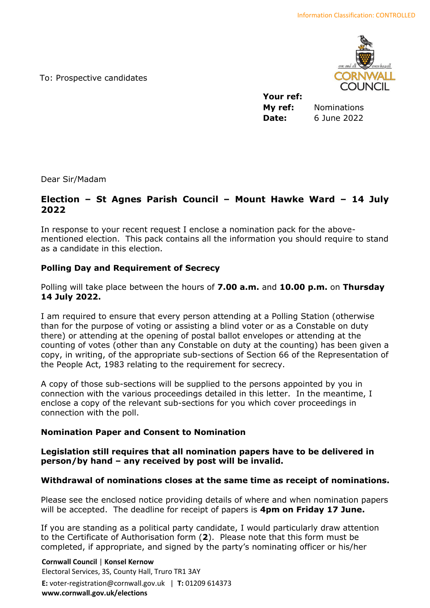To: Prospective candidates



**Your ref: My ref:** Nominations **Date:** 6 June 2022

Dear Sir/Madam

# **Election – St Agnes Parish Council – Mount Hawke Ward – 14 July 2022**

In response to your recent request I enclose a nomination pack for the abovementioned election. This pack contains all the information you should require to stand as a candidate in this election.

## **Polling Day and Requirement of Secrecy**

Polling will take place between the hours of **7.00 a.m.** and **10.00 p.m.** on **Thursday 14 July 2022.**

I am required to ensure that every person attending at a Polling Station (otherwise than for the purpose of voting or assisting a blind voter or as a Constable on duty there) or attending at the opening of postal ballot envelopes or attending at the counting of votes (other than any Constable on duty at the counting) has been given a copy, in writing, of the appropriate sub-sections of Section 66 of the Representation of the People Act, 1983 relating to the requirement for secrecy.

A copy of those sub-sections will be supplied to the persons appointed by you in connection with the various proceedings detailed in this letter. In the meantime, I enclose a copy of the relevant sub-sections for you which cover proceedings in connection with the poll.

## **Nomination Paper and Consent to Nomination**

## **Legislation still requires that all nomination papers have to be delivered in person/by hand – any received by post will be invalid.**

## **Withdrawal of nominations closes at the same time as receipt of nominations.**

Please see the enclosed notice providing details of where and when nomination papers will be accepted. The deadline for receipt of papers is **4pm on Friday 17 June.**

If you are standing as a political party candidate, I would particularly draw attention to the Certificate of Authorisation form (**2**). Please note that this form must be completed, if appropriate, and signed by the party's nominating officer or his/her

**Cornwall Council** | **Konsel Kernow** Electoral Services, 3S, County Hall, Truro TR1 3AY **E:** voter-registration@cornwall.gov.uk | **T:** 01209 614373 **www.cornwall.gov.uk/elections**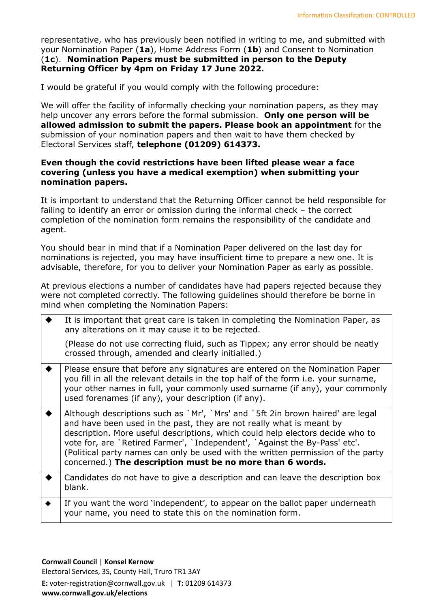representative, who has previously been notified in writing to me, and submitted with your Nomination Paper (**1a**), Home Address Form (**1b**) and Consent to Nomination (**1c**). **Nomination Papers must be submitted in person to the Deputy Returning Officer by 4pm on Friday 17 June 2022.** 

I would be grateful if you would comply with the following procedure:

We will offer the facility of informally checking your nomination papers, as they may help uncover any errors before the formal submission. **Only one person will be allowed admission to submit the papers. Please book an appointment** for the submission of your nomination papers and then wait to have them checked by Electoral Services staff, **telephone (01209) 614373.**

## **Even though the covid restrictions have been lifted please wear a face covering (unless you have a medical exemption) when submitting your nomination papers.**

It is important to understand that the Returning Officer cannot be held responsible for failing to identify an error or omission during the informal check – the correct completion of the nomination form remains the responsibility of the candidate and agent.

You should bear in mind that if a Nomination Paper delivered on the last day for nominations is rejected, you may have insufficient time to prepare a new one. It is advisable, therefore, for you to deliver your Nomination Paper as early as possible.

At previous elections a number of candidates have had papers rejected because they were not completed correctly. The following guidelines should therefore be borne in mind when completing the Nomination Papers:

| It is important that great care is taken in completing the Nomination Paper, as<br>any alterations on it may cause it to be rejected.                                                                                                                                                                                                                                                                                                                                   |
|-------------------------------------------------------------------------------------------------------------------------------------------------------------------------------------------------------------------------------------------------------------------------------------------------------------------------------------------------------------------------------------------------------------------------------------------------------------------------|
| (Please do not use correcting fluid, such as Tippex; any error should be neatly<br>crossed through, amended and clearly initialled.)                                                                                                                                                                                                                                                                                                                                    |
| Please ensure that before any signatures are entered on the Nomination Paper<br>you fill in all the relevant details in the top half of the form <i>i.e.</i> your surname,<br>your other names in full, your commonly used surname (if any), your commonly<br>used forenames (if any), your description (if any).                                                                                                                                                       |
| Although descriptions such as `Mr', `Mrs' and `5ft 2in brown haired' are legal<br>and have been used in the past, they are not really what is meant by<br>description. More useful descriptions, which could help electors decide who to<br>vote for, are `Retired Farmer', `Independent', `Against the By-Pass' etc'.<br>(Political party names can only be used with the written permission of the party<br>concerned.) The description must be no more than 6 words. |
| Candidates do not have to give a description and can leave the description box<br>blank.                                                                                                                                                                                                                                                                                                                                                                                |
| If you want the word 'independent', to appear on the ballot paper underneath<br>your name, you need to state this on the nomination form.                                                                                                                                                                                                                                                                                                                               |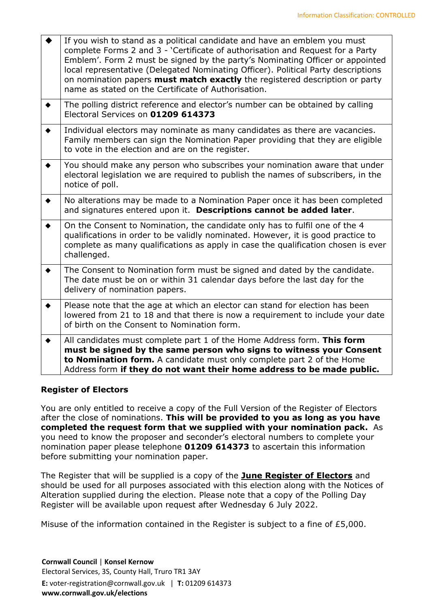|                 | If you wish to stand as a political candidate and have an emblem you must<br>complete Forms 2 and 3 - 'Certificate of authorisation and Request for a Party<br>Emblem'. Form 2 must be signed by the party's Nominating Officer or appointed<br>local representative (Delegated Nominating Officer). Political Party descriptions<br>on nomination papers must match exactly the registered description or party<br>name as stated on the Certificate of Authorisation. |
|-----------------|-------------------------------------------------------------------------------------------------------------------------------------------------------------------------------------------------------------------------------------------------------------------------------------------------------------------------------------------------------------------------------------------------------------------------------------------------------------------------|
| $\blacklozenge$ | The polling district reference and elector's number can be obtained by calling<br>Electoral Services on 01209 614373                                                                                                                                                                                                                                                                                                                                                    |
| $\blacklozenge$ | Individual electors may nominate as many candidates as there are vacancies.<br>Family members can sign the Nomination Paper providing that they are eligible<br>to vote in the election and are on the register.                                                                                                                                                                                                                                                        |
| $\blacklozenge$ | You should make any person who subscribes your nomination aware that under<br>electoral legislation we are required to publish the names of subscribers, in the<br>notice of poll.                                                                                                                                                                                                                                                                                      |
|                 | No alterations may be made to a Nomination Paper once it has been completed<br>and signatures entered upon it. Descriptions cannot be added later.                                                                                                                                                                                                                                                                                                                      |
| $\blacklozenge$ | On the Consent to Nomination, the candidate only has to fulfil one of the 4<br>qualifications in order to be validly nominated. However, it is good practice to<br>complete as many qualifications as apply in case the qualification chosen is ever<br>challenged.                                                                                                                                                                                                     |
| $\blacklozenge$ | The Consent to Nomination form must be signed and dated by the candidate.<br>The date must be on or within 31 calendar days before the last day for the<br>delivery of nomination papers.                                                                                                                                                                                                                                                                               |
|                 | Please note that the age at which an elector can stand for election has been<br>lowered from 21 to 18 and that there is now a requirement to include your date<br>of birth on the Consent to Nomination form.                                                                                                                                                                                                                                                           |
| $\bullet$       | All candidates must complete part 1 of the Home Address form. This form<br>must be signed by the same person who signs to witness your Consent<br>to Nomination form. A candidate must only complete part 2 of the Home<br>Address form if they do not want their home address to be made public.                                                                                                                                                                       |

## **Register of Electors**

You are only entitled to receive a copy of the Full Version of the Register of Electors after the close of nominations. **This will be provided to you as long as you have completed the request form that we supplied with your nomination pack.** As you need to know the proposer and seconder's electoral numbers to complete your nomination paper please telephone **01209 614373** to ascertain this information before submitting your nomination paper.

The Register that will be supplied is a copy of the **June Register of Electors** and should be used for all purposes associated with this election along with the Notices of Alteration supplied during the election. Please note that a copy of the Polling Day Register will be available upon request after Wednesday 6 July 2022.

Misuse of the information contained in the Register is subject to a fine of £5,000.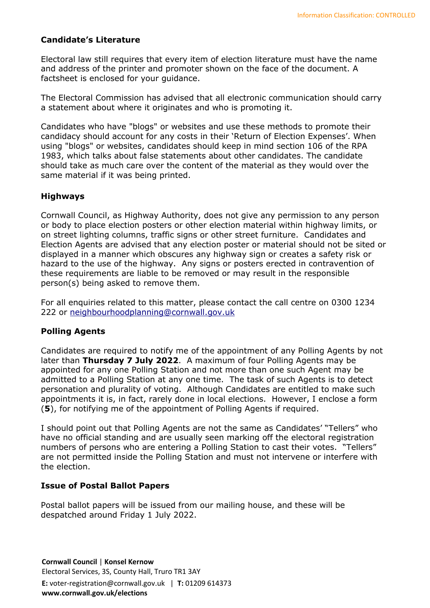## **Candidate's Literature**

Electoral law still requires that every item of election literature must have the name and address of the printer and promoter shown on the face of the document. A factsheet is enclosed for your guidance.

The Electoral Commission has advised that all electronic communication should carry a statement about where it originates and who is promoting it.

Candidates who have "blogs" or websites and use these methods to promote their candidacy should account for any costs in their 'Return of Election Expenses'. When using "blogs" or websites, candidates should keep in mind section 106 of the RPA 1983, which talks about false statements about other candidates. The candidate should take as much care over the content of the material as they would over the same material if it was being printed.

## **Highways**

Cornwall Council, as Highway Authority, does not give any permission to any person or body to place election posters or other election material within highway limits, or on street lighting columns, traffic signs or other street furniture. Candidates and Election Agents are advised that any election poster or material should not be sited or displayed in a manner which obscures any highway sign or creates a safety risk or hazard to the use of the highway. Any signs or posters erected in contravention of these requirements are liable to be removed or may result in the responsible person(s) being asked to remove them.

For all enquiries related to this matter, please contact the call centre on 0300 1234 222 or [neighbourhoodplanning@cornwall.gov.uk](mailto:neighbourhoodplanning@cornwall.gov.uk)

#### **Polling Agents**

Candidates are required to notify me of the appointment of any Polling Agents by not later than **Thursday 7 July 2022**. A maximum of four Polling Agents may be appointed for any one Polling Station and not more than one such Agent may be admitted to a Polling Station at any one time. The task of such Agents is to detect personation and plurality of voting. Although Candidates are entitled to make such appointments it is, in fact, rarely done in local elections. However, I enclose a form (**5**), for notifying me of the appointment of Polling Agents if required.

I should point out that Polling Agents are not the same as Candidates' "Tellers" who have no official standing and are usually seen marking off the electoral registration numbers of persons who are entering a Polling Station to cast their votes. "Tellers" are not permitted inside the Polling Station and must not intervene or interfere with the election.

#### **Issue of Postal Ballot Papers**

Postal ballot papers will be issued from our mailing house, and these will be despatched around Friday 1 July 2022.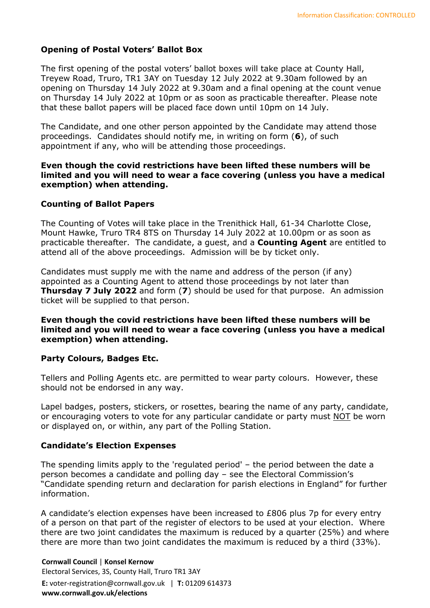## **Opening of Postal Voters' Ballot Box**

The first opening of the postal voters' ballot boxes will take place at County Hall, Treyew Road, Truro, TR1 3AY on Tuesday 12 July 2022 at 9.30am followed by an opening on Thursday 14 July 2022 at 9.30am and a final opening at the count venue on Thursday 14 July 2022 at 10pm or as soon as practicable thereafter. Please note that these ballot papers will be placed face down until 10pm on 14 July.

The Candidate, and one other person appointed by the Candidate may attend those proceedings. Candidates should notify me, in writing on form (**6**), of such appointment if any, who will be attending those proceedings.

#### **Even though the covid restrictions have been lifted these numbers will be limited and you will need to wear a face covering (unless you have a medical exemption) when attending.**

## **Counting of Ballot Papers**

The Counting of Votes will take place in the Trenithick Hall, 61-34 Charlotte Close, Mount Hawke, Truro TR4 8TS on Thursday 14 July 2022 at 10.00pm or as soon as practicable thereafter. The candidate, a guest, and a **Counting Agent** are entitled to attend all of the above proceedings. Admission will be by ticket only.

Candidates must supply me with the name and address of the person (if any) appointed as a Counting Agent to attend those proceedings by not later than **Thursday 7 July 2022** and form (**7**) should be used for that purpose. An admission ticket will be supplied to that person.

**Even though the covid restrictions have been lifted these numbers will be limited and you will need to wear a face covering (unless you have a medical exemption) when attending.** 

## **Party Colours, Badges Etc.**

Tellers and Polling Agents etc. are permitted to wear party colours. However, these should not be endorsed in any way.

Lapel badges, posters, stickers, or rosettes, bearing the name of any party, candidate, or encouraging voters to vote for any particular candidate or party must NOT be worn or displayed on, or within, any part of the Polling Station.

## **Candidate's Election Expenses**

The spending limits apply to the 'regulated period' – the period between the date a person becomes a candidate and polling day – see the Electoral Commission's "Candidate spending return and declaration for parish elections in England" for further information.

A candidate's election expenses have been increased to £806 plus 7p for every entry of a person on that part of the register of electors to be used at your election. Where there are two joint candidates the maximum is reduced by a quarter (25%) and where there are more than two joint candidates the maximum is reduced by a third (33%).

**Cornwall Council** | **Konsel Kernow** Electoral Services, 3S, County Hall, Truro TR1 3AY **E:** voter-registration@cornwall.gov.uk | **T:** 01209 614373 **www.cornwall.gov.uk/elections**